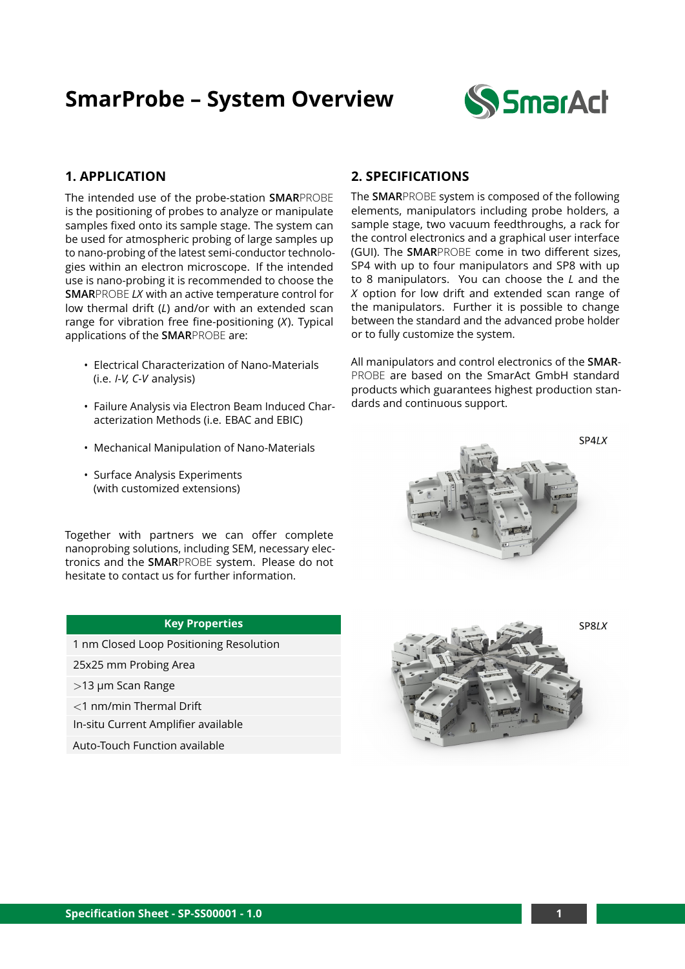# **SmarProbe – System Overview**



### **1. APPLICATION**

The intended use of the probe-station **SMAR**PROBE is the positioning of probes to analyze or manipulate samples fixed onto its sample stage. The system can be used for atmospheric probing of large samples up to nano-probing of the latest semi-conductor technologies within an electron microscope. If the intended use is nano-probing it is recommended to choose the **SMAR**PROBE *LX* with an active temperature control for low thermal drift (*L*) and/or with an extended scan range for vibration free fine-positioning (*X*). Typical applications of the **SMAR**PROBE are:

- Electrical Characterization of Nano-Materials (i.e. *I-V, C-V* analysis)
- Failure Analysis via Electron Beam Induced Characterization Methods (i.e. EBAC and EBIC)
- Mechanical Manipulation of Nano-Materials
- Surface Analysis Experiments (with customized extensions)

Together with partners we can offer complete nanoprobing solutions, including SEM, necessary electronics and the **SMAR**PROBE system. Please do not hesitate to contact us for further information.

### **Key Properties**

1 nm Closed Loop Positioning Resolution

25x25 mm Probing Area

>13 µm Scan Range

<1 nm/min Thermal Drift

In-situ Current Amplifier available

Auto-Touch Function available

### **2. SPECIFICATIONS**

The **SMAR**PROBE system is composed of the following elements, manipulators including probe holders, a sample stage, two vacuum feedthroughs, a rack for the control electronics and a graphical user interface (GUI). The **SMAR**PROBE come in two different sizes, SP4 with up to four manipulators and SP8 with up to 8 manipulators. You can choose the *L* and the *X* option for low drift and extended scan range of the manipulators. Further it is possible to change between the standard and the advanced probe holder or to fully customize the system.

All manipulators and control electronics of the **SMAR**-PROBE are based on the SmarAct GmbH standard products which guarantees highest production standards and continuous support.

 $SP4IX$ 



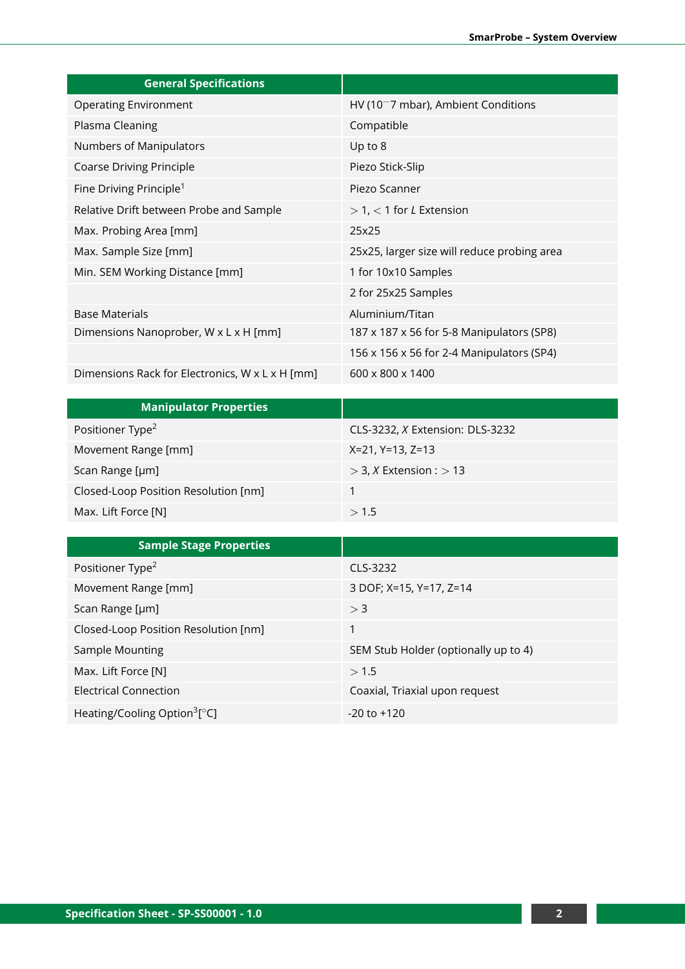| <b>General Specifications</b>                   |                                             |
|-------------------------------------------------|---------------------------------------------|
| <b>Operating Environment</b>                    | $HV(10-7 mbar)$ , Ambient Conditions        |
| Plasma Cleaning                                 | Compatible                                  |
| Numbers of Manipulators                         | Up to 8                                     |
| <b>Coarse Driving Principle</b>                 | Piezo Stick-Slip                            |
| Fine Driving Principle <sup>1</sup>             | Piezo Scanner                               |
| Relative Drift between Probe and Sample         | $> 1$ , $< 1$ for <i>L</i> Extension        |
| Max. Probing Area [mm]                          | 25x25                                       |
| Max. Sample Size [mm]                           | 25x25, larger size will reduce probing area |
| Min. SEM Working Distance [mm]                  | 1 for 10x10 Samples                         |
|                                                 | 2 for 25x25 Samples                         |
| <b>Base Materials</b>                           | Aluminium/Titan                             |
| Dimensions Nanoprober, W x L x H [mm]           | 187 x 187 x 56 for 5-8 Manipulators (SP8)   |
|                                                 | 156 x 156 x 56 for 2-4 Manipulators (SP4)   |
| Dimensions Rack for Electronics, W x L x H [mm] | 600 x 800 x 1400                            |

| <b>Manipulator Properties</b>        |                                        |
|--------------------------------------|----------------------------------------|
| Positioner Type <sup>2</sup>         | CLS-3232, <i>X</i> Extension: DLS-3232 |
| Movement Range [mm]                  | X=21, Y=13, Z=13                       |
| Scan Range [µm]                      | $>$ 3, X Extension : $>$ 13            |
| Closed-Loop Position Resolution [nm] |                                        |
| Max. Lift Force [N]                  | >1.5                                   |

| <b>Sample Stage Properties</b>                      |                                      |
|-----------------------------------------------------|--------------------------------------|
| Positioner Type <sup>2</sup>                        | CLS-3232                             |
| Movement Range [mm]                                 | 3 DOF; X=15, Y=17, Z=14              |
| Scan Range [µm]                                     | > 3                                  |
| Closed-Loop Position Resolution [nm]                |                                      |
| Sample Mounting                                     | SEM Stub Holder (optionally up to 4) |
| Max. Lift Force [N]                                 | >1.5                                 |
| Electrical Connection                               | Coaxial, Triaxial upon request       |
| Heating/Cooling Option <sup>3</sup> [ $^{\circ}$ C] | $-20$ to $+120$                      |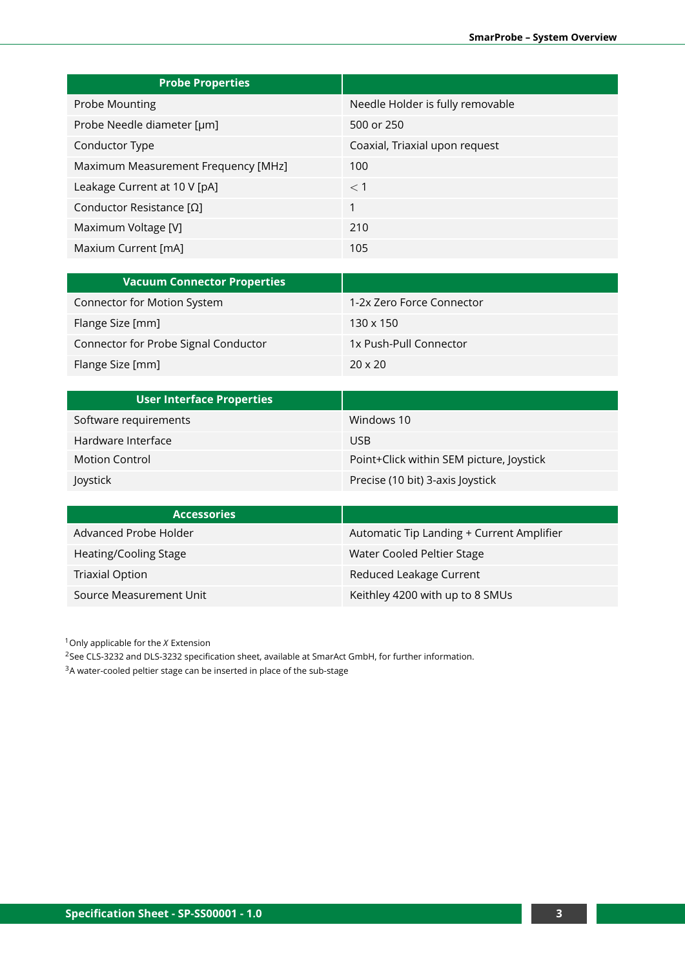| <b>Probe Properties</b>             |                                  |
|-------------------------------------|----------------------------------|
| Probe Mounting                      | Needle Holder is fully removable |
| Probe Needle diameter [µm]          | 500 or 250                       |
| Conductor Type                      | Coaxial, Triaxial upon request   |
| Maximum Measurement Frequency [MHz] | 100                              |
| Leakage Current at 10 V [pA]        | $<$ 1                            |
| Conductor Resistance [Ω]            | 1                                |
| Maximum Voltage [V]                 | 210                              |
| Maxium Current [mA]                 | 105                              |

| <b>Vacuum Connector Properties</b>   |                           |
|--------------------------------------|---------------------------|
| Connector for Motion System          | 1-2x Zero Force Connector |
| Flange Size [mm]                     | $130 \times 150$          |
| Connector for Probe Signal Conductor | 1x Push-Pull Connector    |
| Flange Size [mm]                     | $20 \times 20$            |

| <b>User Interface Properties</b> |                                          |
|----------------------------------|------------------------------------------|
| Software requirements            | Windows 10                               |
| Hardware Interface               | <b>USB</b>                               |
| <b>Motion Control</b>            | Point+Click within SEM picture, Joystick |
| Joystick                         | Precise (10 bit) 3-axis Joystick         |

| <b>Accessories</b>      |                                           |
|-------------------------|-------------------------------------------|
| Advanced Probe Holder   | Automatic Tip Landing + Current Amplifier |
| Heating/Cooling Stage   | Water Cooled Peltier Stage                |
| <b>Triaxial Option</b>  | Reduced Leakage Current                   |
| Source Measurement Unit | Keithley 4200 with up to 8 SMUs           |

<sup>1</sup>Only applicable for the *X* Extension

<sup>2</sup>See CLS-3232 and DLS-3232 specification sheet, available at SmarAct GmbH, for further information.

<sup>3</sup>A water-cooled peltier stage can be inserted in place of the sub-stage